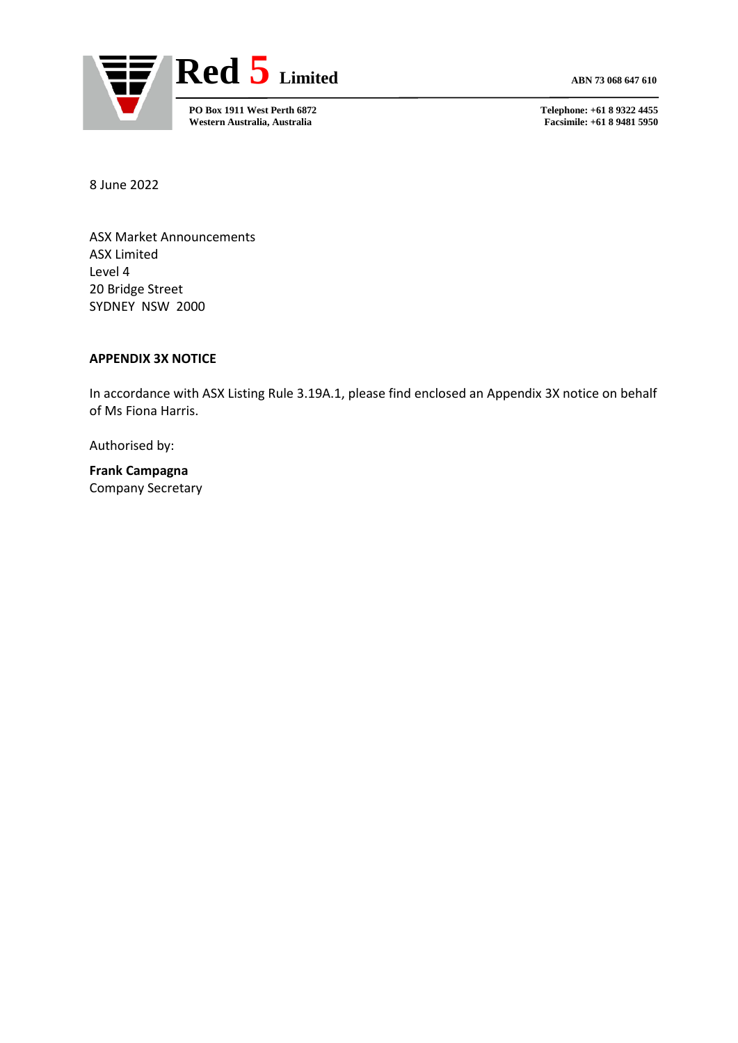

**Facsimile: +61 8 9481 5950** 

8 June 2022

ASX Market Announcements ASX Limited Level 4 20 Bridge Street SYDNEY NSW 2000

## **APPENDIX 3X NOTICE**

In accordance with ASX Listing Rule 3.19A.1, please find enclosed an Appendix 3X notice on behalf of Ms Fiona Harris.

Authorised by:

**Frank Campagna** Company Secretary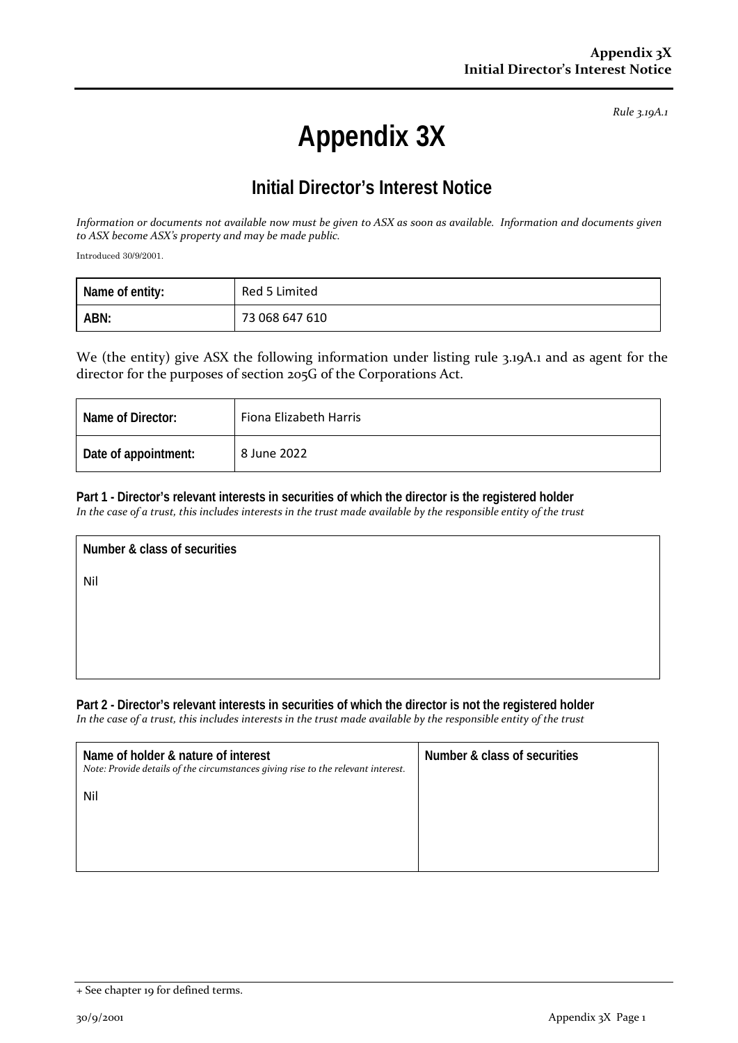*Rule 3.19A.1*

## **Appendix 3X**

## **Initial Director's Interest Notice**

*Information or documents not available now must be given to ASX as soon as available. Information and documents given to ASX become ASX's property and may be made public.*

Introduced 30/9/2001.

| Name of entity: | Red 5 Limited  |
|-----------------|----------------|
| ABN:            | 73 068 647 610 |

We (the entity) give ASX the following information under listing rule 3.19A.1 and as agent for the director for the purposes of section 205G of the Corporations Act.

| Name of Director:    | Fiona Elizabeth Harris |
|----------------------|------------------------|
| Date of appointment: | 8 June 2022            |

**Part 1 - Director's relevant interests in securities of which the director is the registered holder**

*In the case of a trust, this includes interests in the trust made available by the responsible entity of the trust*

**Number & class of securities** Nil

**Part 2 - Director's relevant interests in securities of which the director is not the registered holder** *In the case of a trust, this includes interests in the trust made available by the responsible entity of the trust*

| Name of holder & nature of interest<br>Note: Provide details of the circumstances giving rise to the relevant interest. | Number & class of securities |
|-------------------------------------------------------------------------------------------------------------------------|------------------------------|
| Nil                                                                                                                     |                              |
|                                                                                                                         |                              |

<sup>+</sup> See chapter 19 for defined terms.